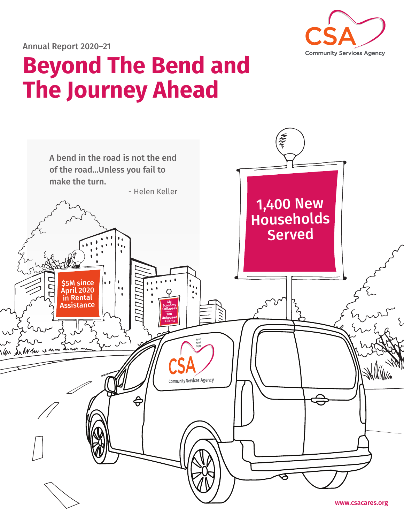

Annual Report 2020–21

## **Beyond The Bend and The Journey Ahead**

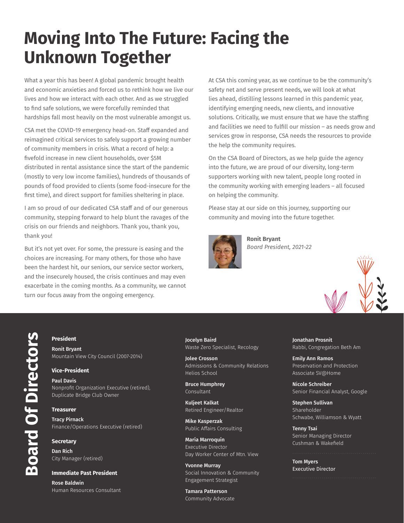## **Moving Into The Future: Facing the Unknown Together**

What a year this has been! A global pandemic brought health and economic anxieties and forced us to rethink how we live our lives and how we interact with each other. And as we struggled to find safe solutions, we were forcefully reminded that hardships fall most heavily on the most vulnerable amongst us.

CSA met the COVID-19 emergency head-on. Staff expanded and reimagined critical services to safely support a growing number of community members in crisis. What a record of help: a fivefold increase in new client households, over \$5M distributed in rental assistance since the start of the pandemic (mostly to very low income families), hundreds of thousands of pounds of food provided to clients (some food-insecure for the first time), and direct support for families sheltering in place.

I am so proud of our dedicated CSA staff and of our generous community, stepping forward to help blunt the ravages of the crisis on our friends and neighbors. Thank you, thank you, thank you!

But it's not yet over. For some, the pressure is easing and the choices are increasing. For many others, for those who have been the hardest hit, our seniors, our service sector workers, and the insecurely housed, the crisis continues and may even exacerbate in the coming months. As a community, we cannot turn our focus away from the ongoing emergency.

At CSA this coming year, as we continue to be the community's safety net and serve present needs, we will look at what lies ahead, distilling lessons learned in this pandemic year, identifying emerging needs, new clients, and innovative solutions. Critically, we must ensure that we have the staffing and facilities we need to fulfill our mission – as needs grow and services grow in response, CSA needs the resources to provide the help the community requires.

On the CSA Board of Directors, as we help guide the agency into the future, we are proud of our diversity, long-term supporters working with new talent, people long rooted in the community working with emerging leaders – all focused on helping the community.

Please stay at our side on this journey, supporting our community and moving into the future together.



**Ronit Bryant** *Board President, 2021-22*



#### **President**

Ronit Bryant Mountain View City Council (2007-2014)

#### **Vice-President**

Paul Davis Nonprofit Organization Executive (retired), Duplicate Bridge Club Owner

#### **Treasurer**

Tracy Pirnack Finance/Operations Executive (retired)

#### **Secretary**

Dan Rich City Manager (retired)

#### **Immediate Past President**

Rose Baldwin Human Resources Consultant Jocelyn Baird Waste Zero Specialist, Recology

Jolee Crosson Admissions & Community Relations Helios School

Bruce Humphrey Consultant

Kuljeet Kalkat Retired Engineer/Realtor

Mike Kasperzak Public Affairs Consulting

María Marroquín Executive Director Day Worker Center of Mtn. View

Yvonne Murray Social Innovation & Community Engagement Strategist

Tamara Patterson Community Advocate Jonathan Prosnit Rabbi, Congregation Beth Am

Emily Ann Ramos Preservation and Protection Associate SV@Home

Nicole Schreiber Senior Financial Analyst, Google

Stephen Sullivan Shareholder Schwabe, Williamson & Wyatt

Tenny Tsai Senior Managing Director Cushman & Wakefield

Tom Myers Executive Director

**Board Of Directors Board Of Directors**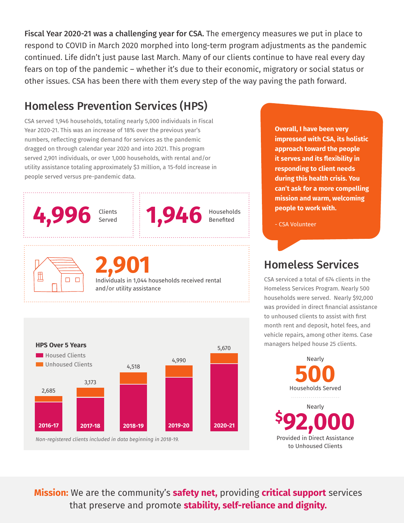Fiscal Year 2020-21 was a challenging year for CSA. The emergency measures we put in place to respond to COVID in March 2020 morphed into long-term program adjustments as the pandemic continued. Life didn't just pause last March. Many of our clients continue to have real every day fears on top of the pandemic – whether it's due to their economic, migratory or social status or other issues. CSA has been there with them every step of the way paving the path forward.

## Homeless Prevention Services (HPS)

CSA served 1,946 households, totaling nearly 5,000 individuals in Fiscal Year 2020-21. This was an increase of 18% over the previous year's numbers, reflecting growing demand for services as the pandemic dragged on through calendar year 2020 and into 2021. This program served 2,901 individuals, or over 1,000 households, with rental and/or utility assistance totaling approximately \$3 million, a 15-fold increase in people served versus pre-pandemic data.





**Overall, I have been very impressed with CSA, its holistic approach toward the people it serves and its flexibility in responding to client needs during this health crisis. You can't ask for a more compelling mission and warm, welcoming people to work with.** 

- CSA Volunteer

## Homeless Services

CSA serviced a total of 674 clients in the Homeless Services Program. Nearly 500 households were served. Nearly \$92,000 was provided in direct financial assistance to unhoused clients to assist with first month rent and deposit, hotel fees, and vehicle repairs, among other items. Case managers helped house 25 clients.

> Households Served Provided in Direct Assistance to Unhoused Clients **500 \$ 92,000** Nearly Nearly

**Mission:** We are the community's **safety net,** providing **critical support** services that preserve and promote **stability, self-reliance and dignity.**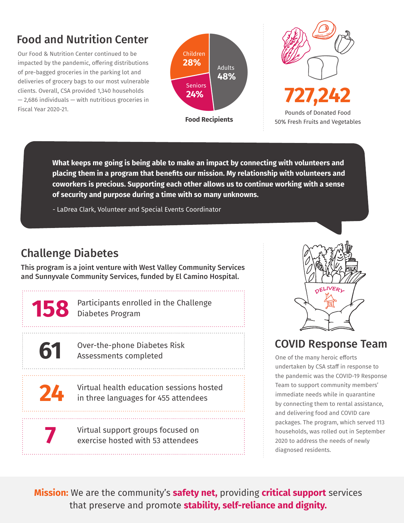## Food and Nutrition Center

Our Food & Nutrition Center continued to be impacted by the pandemic, offering distributions of pre-bagged groceries in the parking lot and deliveries of grocery bags to our most vulnerable clients. Overall, CSA provided 1,340 households — 2,686 individuals — with nutritious groceries in Fiscal Year 2020-21. Pounds of Donated Food





50% Fresh Fruits and Vegetables

**What keeps me going is being able to make an impact by connecting with volunteers and placing them in a program that benefits our mission. My relationship with volunteers and coworkers is precious. Supporting each other allows us to continue working with a sense of security and purpose during a time with so many unknowns.**

- LaDrea Clark, Volunteer and Special Events Coordinator

## Challenge Diabetes

**158**

**61**

**24**

**7**

This program is a joint venture with West Valley Community Services and Sunnyvale Community Services, funded by El Camino Hospital.

> Participants enrolled in the Challenge Diabetes Program

Over-the-phone Diabetes Risk Assessments completed

Virtual health education sessions hosted in three languages for 455 attendees

Virtual support groups focused on exercise hosted with 53 attendees



### COVID Response Team

One of the many heroic efforts undertaken by CSA staff in response to the pandemic was the COVID-19 Response Team to support community members' immediate needs while in quarantine by connecting them to rental assistance, and delivering food and COVID care packages. The program, which served 113 households, was rolled out in September 2020 to address the needs of newly diagnosed residents.

**Mission:** We are the community's **safety net,** providing **critical support** services that preserve and promote **stability, self-reliance and dignity.**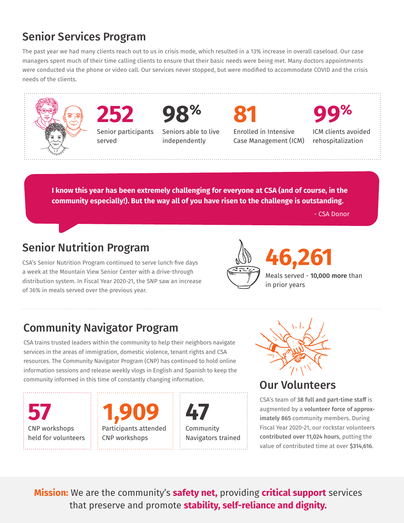## Senior Services Program

The past year we had many clients reach out to us in crisis mode, which resulted in a 13% increase in overall caseload. Our case managers spent much of their time calling clients to ensure that their basic needs were being met. Many doctors appointments were conducted via the phone or video call. Our services never stopped, but were modified to accommodate COVID and the crisis needs of the clients.



**I know this year has been extremely challenging for everyone at CSA (and of course, in the community especially!). But the way all of you have risen to the challenge is outstanding.**

- CSA Donor

### Senior Nutrition Program

CSA's Senior Nutrition Program continued to serve lunch five days a week at the Mountain View Senior Center with a drive-through distribution system. In Fiscal Year 2020-21, the SNP saw an increase of 36% in meals served over the previous year.



## Meals served - 10,000 more than

## Community Navigator Program

CSA trains trusted leaders within the community to help their neighbors navigate services in the areas of immigration, domestic violence, tenant rights and CSA resources. The Community Navigator Program (CNP) has continued to hold online information sessions and release weekly vlogs in English and Spanish to keep the community informed in this time of constantly changing information.

CNP workshops held for volunteers

**57 1,909 47** Participants attended CNP workshops

Community Navigators trained



Our Volunteers

CSA's team of 38 full and part-time staff is augmented by a volunteer force of approximately 865 community members. During Fiscal Year 2020-21, our rockstar volunteers contributed over 11,024 hours, putting the value of contributed time at over \$314,616.

**Mission:** We are the community's **safety net,** providing **critical support** services that preserve and promote **stability, self-reliance and dignity.**